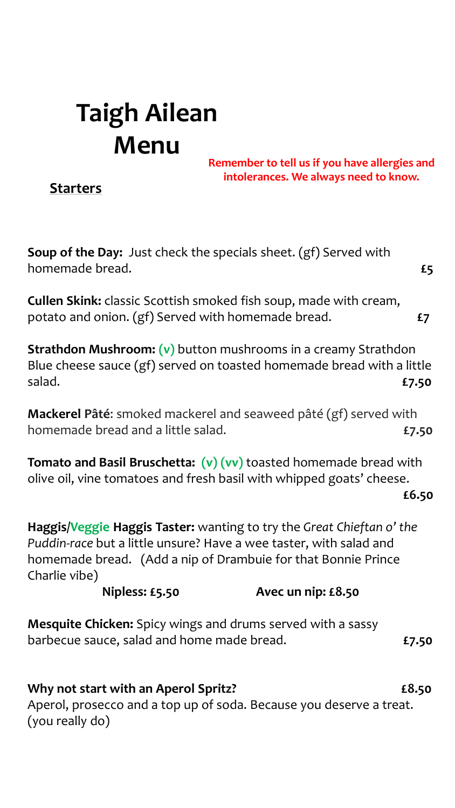## **Taigh Ailean Menu**

**Remember to tell us if you have allergies and intolerances. We always need to know.**

**Starters**

**Soup of the Day:** Just check the specials sheet. (gf) Served with homemade bread. **£5**

**Cullen Skink:** classic Scottish smoked fish soup, made with cream, potato and onion. (gf) Served with homemade bread. **£7**

**Strathdon Mushroom: (v)** button mushrooms in a creamy Strathdon Blue cheese sauce (gf) served on toasted homemade bread with a little salad. **£7.50**

**Mackerel Pâté**: smoked mackerel and seaweed pâté (gf) served with homemade bread and a little salad. **£7.50**

**Tomato and Basil Bruschetta: (v) (vv)** toasted homemade bread with olive oil, vine tomatoes and fresh basil with whipped goats' cheese. **£6.50**

**Haggis/Veggie Haggis Taster:** wanting to try the *Great Chieftan o' the Puddin-race* but a little unsure? Have a wee taster, with salad and homemade bread. (Add a nip of Drambuie for that Bonnie Prince Charlie vibe)

**Nipless: £5.50 Avec un nip: £8.50**

**Mesquite Chicken:** Spicy wings and drums served with a sassy barbecue sauce, salad and home made bread. **£7.50**

**Why not start with an Aperol Spritz? £8.50** Aperol, prosecco and a top up of soda. Because you deserve a treat. (you really do)